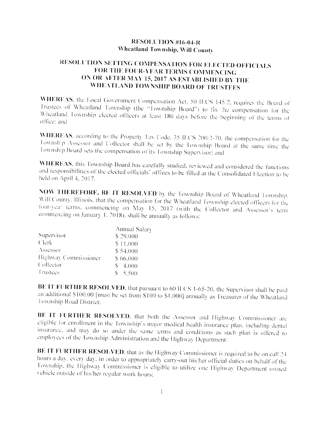## **RESOLUTION #16-04-R** Wheatland Township, Will County

## RESOLUTION SETTING COMPENSATION FOR ELECTED OFFICIALS FOR THE FOUR-YEAR TERMS COMMENCING ON OR AFTER MAY 15, 2017 AS ESTABLISHED BY THE WHEATLAND TOWNSHIP BOARD OF TRUSTEES

WHEREAS, the Local Government Compensation Act, 50 ILCS 145/2, requires the Board of Trustees of Wheatland Township (the "Township Board") to fix the compensation for the Wheatland Township elected officers at least 180 days before the beginning of the terms of office: and

WHEREAS, according to the Property Tax Code, 35 ILCS 200/2-70, the compensation for the Township Assessor and Collector shall be set by the Township Board at the same time the Township Board sets the compensation of its Township Supervisor: and

WHEREAS, this Township Board has carefully studied, reviewed and considered the functions and responsibilities of the elected officials' offices to be filled at the Consolidated Election to be held on April 4, 2017.

NOW THEREFORE, BE IT RESOLVED by the Township Board of Wheatland Township. Will County. Illinois, that the compensation for the Wheatland Township elected officers for the four-year terms, commencing on May 15, 2017 (with the Collector and Assessor's term commencing on January 1, 2018), shall be annually as follows:

|                      | Annual Salary |  |
|----------------------|---------------|--|
| Supervisor           | \$29,000      |  |
| <b>Clerk</b>         | \$11,000      |  |
| Assessor             | \$54,000      |  |
| Highway Commissioner | \$66,000      |  |
| Collector            | $$-4,000$     |  |
| Trustees             | \$5,500       |  |

BE IT FURTHER RESOLVED, that pursuant to 60 H.CS 1-65-20, the Supervisor shall be paid an additional \$100.00 [must be set from \$100 to \$1,000] annually as Treasurer of the Wheatland Township Road District:

BE IT FURTHER RESOLVED, that both the Assessor and Highway Commissioner are eligible for enrollment in the Township's major medical health insurance plan, including dental insurance, and may do so under the same terms and conditions as such plan is offered to employees of the Township Administration and the Highway Department:

BE IT FURTHER RESOLVED, that as the Highway Commissioner is required to be on call 24 hours a day, every day, in order to appropriately carry-out his/her official duties on behalf of the Township, the Highway Commissioner is eligible to utilize one Highway Department owned vehicle outside of his/her regular work hours: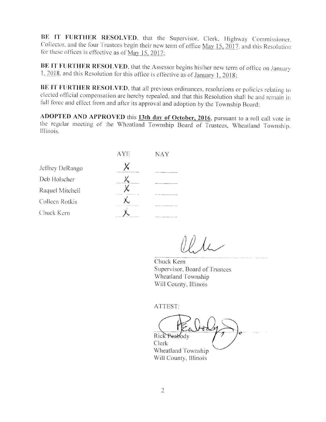BE IT FURTHER RESOLVED, that the Supervisor, Clerk, Highway Commissioner, Collector, and the four Trustees begin their new term of office May 15, 2017, and this Resolution for these offices is effective as of  $\overline{May}$  15, 2017;

BE IT FURTHER RESOLVED, that the Assessor begins his/her new term of office on January 1, 2018, and this Resolution for this office is effective as of January 1, 2018;

BE IT FURTHER RESOLVED, that all previous ordinances, resolutions or policies relating to elected official compensation are hereby repealed, and that this Resolution shall be and remain in full force and effect from and after its approval and adoption by the Township Board;

ADOPTED AND APPROVED this 13th day of October, 2016, pursuant to a roll call vote in the regular meeting of the Wheatland Township Board of Trustees, Wheatland Township. Illinois.

| AYE | <b>NAY</b>                                               |
|-----|----------------------------------------------------------|
|     | <b>The State Communication of the Communication</b>      |
|     |                                                          |
|     | <b>THE R. P. LEWIS CO., LANSING, MICH.</b>               |
|     | The first the component component of the property of the |
|     |                                                          |
|     | ______<br><b>Contract Contract</b><br>.                  |

Chuck Kern Supervisor, Board of Trustees Wheatland Township Will County, Illinois

ATTEST:

Rick Peabody Clerk Wheatland Township Will County, Illinois